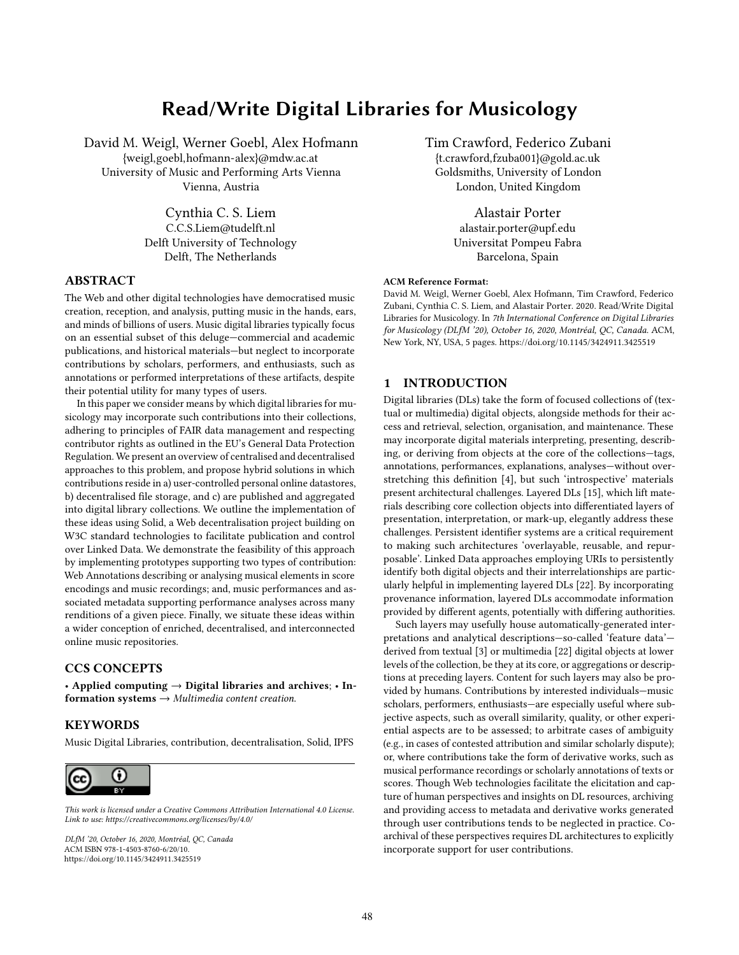# Read/Write Digital Libraries for Musicology

David M. Weigl, Werner Goebl, Alex Hofmann {weigl,goebl,hofmann-alex}@mdw.ac.at University of Music and Performing Arts Vienna Vienna, Austria

> Cynthia C. S. Liem C.C.S.Liem@tudelft.nl Delft University of Technology Delft, The Netherlands

## ABSTRACT

The Web and other digital technologies have democratised music creation, reception, and analysis, putting music in the hands, ears, and minds of billions of users. Music digital libraries typically focus on an essential subset of this deluge—commercial and academic publications, and historical materials—but neglect to incorporate contributions by scholars, performers, and enthusiasts, such as annotations or performed interpretations of these artifacts, despite their potential utility for many types of users.

In this paper we consider means by which digital libraries for musicology may incorporate such contributions into their collections, adhering to principles of FAIR data management and respecting contributor rights as outlined in the EU's General Data Protection Regulation. We present an overview of centralised and decentralised approaches to this problem, and propose hybrid solutions in which contributions reside in a) user-controlled personal online datastores, b) decentralised file storage, and c) are published and aggregated into digital library collections. We outline the implementation of these ideas using Solid, a Web decentralisation project building on W3C standard technologies to facilitate publication and control over Linked Data. We demonstrate the feasibility of this approach by implementing prototypes supporting two types of contribution: Web Annotations describing or analysing musical elements in score encodings and music recordings; and, music performances and associated metadata supporting performance analyses across many renditions of a given piece. Finally, we situate these ideas within a wider conception of enriched, decentralised, and interconnected online music repositories.

## CCS CONCEPTS

• Applied computing  $\rightarrow$  Digital libraries and archives; • Information systems  $\rightarrow$  Multimedia content creation.

## KEYWORDS

Music Digital Libraries, contribution, decentralisation, Solid, IPFS



*This work is licensed under a Creative Commons Attribution International 4.0 License. Link to use: https://creativecommons.org/licenses/by/4.0/*

DLfM '20, October 16, 2020, Montréal, QC, Canada ACM ISBN 978-1-4503-8760-6/20/10. <https://doi.org/10.1145/3424911.3425519>

Tim Crawford, Federico Zubani {t.crawford,fzuba001}@gold.ac.uk Goldsmiths, University of London London, United Kingdom

> Alastair Porter alastair.porter@upf.edu Universitat Pompeu Fabra Barcelona, Spain

#### ACM Reference Format:

David M. Weigl, Werner Goebl, Alex Hofmann, Tim Crawford, Federico Zubani, Cynthia C. S. Liem, and Alastair Porter. 2020. Read/Write Digital Libraries for Musicology. In 7th International Conference on Digital Libraries for Musicology (DLfM '20), October 16, 2020, Montréal, QC, Canada. ACM, New York, NY, USA, [5](#page-4-0) pages.<https://doi.org/10.1145/3424911.3425519>

#### 1 INTRODUCTION

Digital libraries (DLs) take the form of focused collections of (textual or multimedia) digital objects, alongside methods for their access and retrieval, selection, organisation, and maintenance. These may incorporate digital materials interpreting, presenting, describing, or deriving from objects at the core of the collections—tags, annotations, performances, explanations, analyses—without overstretching this definition [\[4\]](#page-4-1), but such 'introspective' materials present architectural challenges. Layered DLs [\[15\]](#page-4-2), which lift materials describing core collection objects into differentiated layers of presentation, interpretation, or mark-up, elegantly address these challenges. Persistent identifier systems are a critical requirement to making such architectures 'overlayable, reusable, and repurposable'. Linked Data approaches employing URIs to persistently identify both digital objects and their interrelationships are particularly helpful in implementing layered DLs [\[22\]](#page-4-3). By incorporating provenance information, layered DLs accommodate information provided by different agents, potentially with differing authorities.

Such layers may usefully house automatically-generated interpretations and analytical descriptions—so-called 'feature data' derived from textual [\[3\]](#page-4-4) or multimedia [\[22\]](#page-4-3) digital objects at lower levels of the collection, be they at its core, or aggregations or descriptions at preceding layers. Content for such layers may also be provided by humans. Contributions by interested individuals—music scholars, performers, enthusiasts—are especially useful where subjective aspects, such as overall similarity, quality, or other experiential aspects are to be assessed; to arbitrate cases of ambiguity (e.g., in cases of contested attribution and similar scholarly dispute); or, where contributions take the form of derivative works, such as musical performance recordings or scholarly annotations of texts or scores. Though Web technologies facilitate the elicitation and capture of human perspectives and insights on DL resources, archiving and providing access to metadata and derivative works generated through user contributions tends to be neglected in practice. Coarchival of these perspectives requires DL architectures to explicitly incorporate support for user contributions.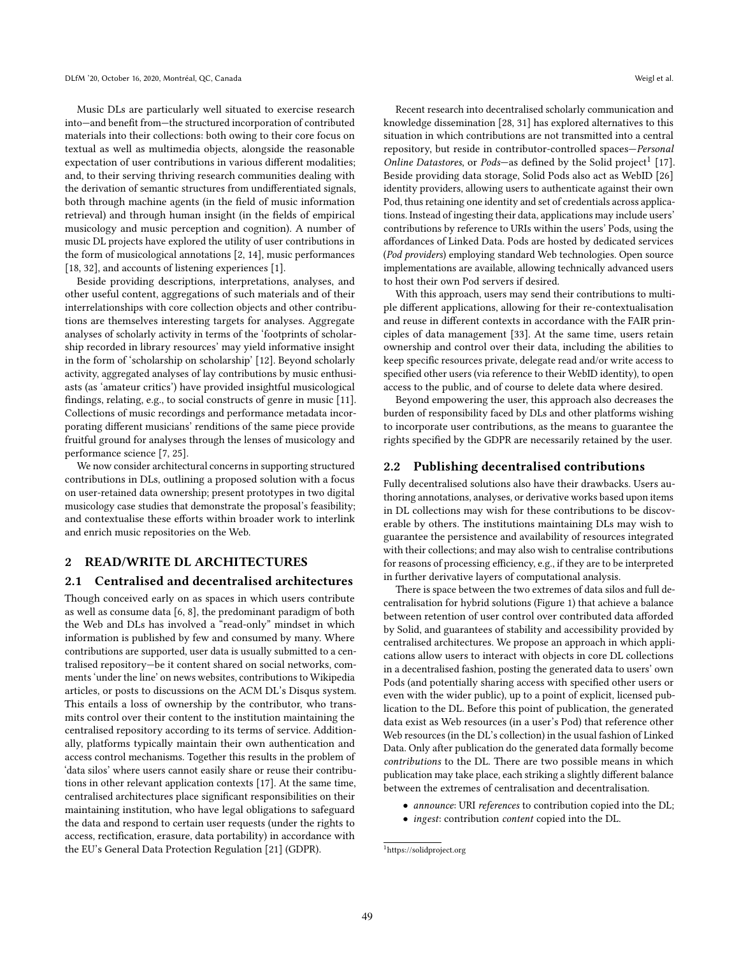Music DLs are particularly well situated to exercise research into—and benefit from—the structured incorporation of contributed materials into their collections: both owing to their core focus on textual as well as multimedia objects, alongside the reasonable expectation of user contributions in various different modalities; and, to their serving thriving research communities dealing with the derivation of semantic structures from undifferentiated signals, both through machine agents (in the field of music information retrieval) and through human insight (in the fields of empirical musicology and music perception and cognition). A number of music DL projects have explored the utility of user contributions in the form of musicological annotations [\[2,](#page-4-5) [14\]](#page-4-6), music performances [\[18,](#page-4-7) [32\]](#page-4-8), and accounts of listening experiences [\[1\]](#page-4-9).

Beside providing descriptions, interpretations, analyses, and other useful content, aggregations of such materials and of their interrelationships with core collection objects and other contributions are themselves interesting targets for analyses. Aggregate analyses of scholarly activity in terms of the 'footprints of scholarship recorded in library resources' may yield informative insight in the form of 'scholarship on scholarship' [\[12\]](#page-4-10). Beyond scholarly activity, aggregated analyses of lay contributions by music enthusiasts (as 'amateur critics') have provided insightful musicological findings, relating, e.g., to social constructs of genre in music [\[11\]](#page-4-11). Collections of music recordings and performance metadata incorporating different musicians' renditions of the same piece provide fruitful ground for analyses through the lenses of musicology and performance science [\[7,](#page-4-12) [25\]](#page-4-13).

We now consider architectural concerns in supporting structured contributions in DLs, outlining a proposed solution with a focus on user-retained data ownership; present prototypes in two digital musicology case studies that demonstrate the proposal's feasibility; and contextualise these efforts within broader work to interlink and enrich music repositories on the Web.

## 2 READ/WRITE DL ARCHITECTURES

#### <span id="page-1-1"></span>2.1 Centralised and decentralised architectures

Though conceived early on as spaces in which users contribute as well as consume data [\[6,](#page-4-14) [8\]](#page-4-15), the predominant paradigm of both the Web and DLs has involved a "read-only" mindset in which information is published by few and consumed by many. Where contributions are supported, user data is usually submitted to a centralised repository—be it content shared on social networks, comments 'under the line' on news websites, contributions to Wikipedia articles, or posts to discussions on the ACM DL's Disqus system. This entails a loss of ownership by the contributor, who transmits control over their content to the institution maintaining the centralised repository according to its terms of service. Additionally, platforms typically maintain their own authentication and access control mechanisms. Together this results in the problem of 'data silos' where users cannot easily share or reuse their contributions in other relevant application contexts [\[17\]](#page-4-16). At the same time, centralised architectures place significant responsibilities on their maintaining institution, who have legal obligations to safeguard the data and respond to certain user requests (under the rights to access, rectification, erasure, data portability) in accordance with the EU's General Data Protection Regulation [\[21\]](#page-4-17) (GDPR).

Recent research into decentralised scholarly communication and knowledge dissemination [\[28,](#page-4-18) [31\]](#page-4-19) has explored alternatives to this situation in which contributions are not transmitted into a central repository, but reside in contributor-controlled spaces—Personal Online Datastores, or Pods-as defined by the Solid project<sup>[1](#page-1-0)</sup> [\[17\]](#page-4-16). Beside providing data storage, Solid Pods also act as WebID [\[26\]](#page-4-20) identity providers, allowing users to authenticate against their own Pod, thus retaining one identity and set of credentials across applications. Instead of ingesting their data, applications may include users' contributions by reference to URIs within the users' Pods, using the affordances of Linked Data. Pods are hosted by dedicated services (Pod providers) employing standard Web technologies. Open source implementations are available, allowing technically advanced users to host their own Pod servers if desired.

With this approach, users may send their contributions to multiple different applications, allowing for their re-contextualisation and reuse in different contexts in accordance with the FAIR principles of data management [\[33\]](#page-4-21). At the same time, users retain ownership and control over their data, including the abilities to keep specific resources private, delegate read and/or write access to specified other users (via reference to their WebID identity), to open access to the public, and of course to delete data where desired.

Beyond empowering the user, this approach also decreases the burden of responsibility faced by DLs and other platforms wishing to incorporate user contributions, as the means to guarantee the rights specified by the GDPR are necessarily retained by the user.

## <span id="page-1-2"></span>2.2 Publishing decentralised contributions

Fully decentralised solutions also have their drawbacks. Users authoring annotations, analyses, or derivative works based upon items in DL collections may wish for these contributions to be discoverable by others. The institutions maintaining DLs may wish to guarantee the persistence and availability of resources integrated with their collections; and may also wish to centralise contributions for reasons of processing efficiency, e.g., if they are to be interpreted in further derivative layers of computational analysis.

There is space between the two extremes of data silos and full decentralisation for hybrid solutions (Figure [1\)](#page-2-0) that achieve a balance between retention of user control over contributed data afforded by Solid, and guarantees of stability and accessibility provided by centralised architectures. We propose an approach in which applications allow users to interact with objects in core DL collections in a decentralised fashion, posting the generated data to users' own Pods (and potentially sharing access with specified other users or even with the wider public), up to a point of explicit, licensed publication to the DL. Before this point of publication, the generated data exist as Web resources (in a user's Pod) that reference other Web resources (in the DL's collection) in the usual fashion of Linked Data. Only after publication do the generated data formally become contributions to the DL. There are two possible means in which publication may take place, each striking a slightly different balance between the extremes of centralisation and decentralisation.

- announce: URI references to contribution copied into the DL;
- ingest: contribution content copied into the DL.

<span id="page-1-0"></span><sup>1</sup><https://solidproject.org>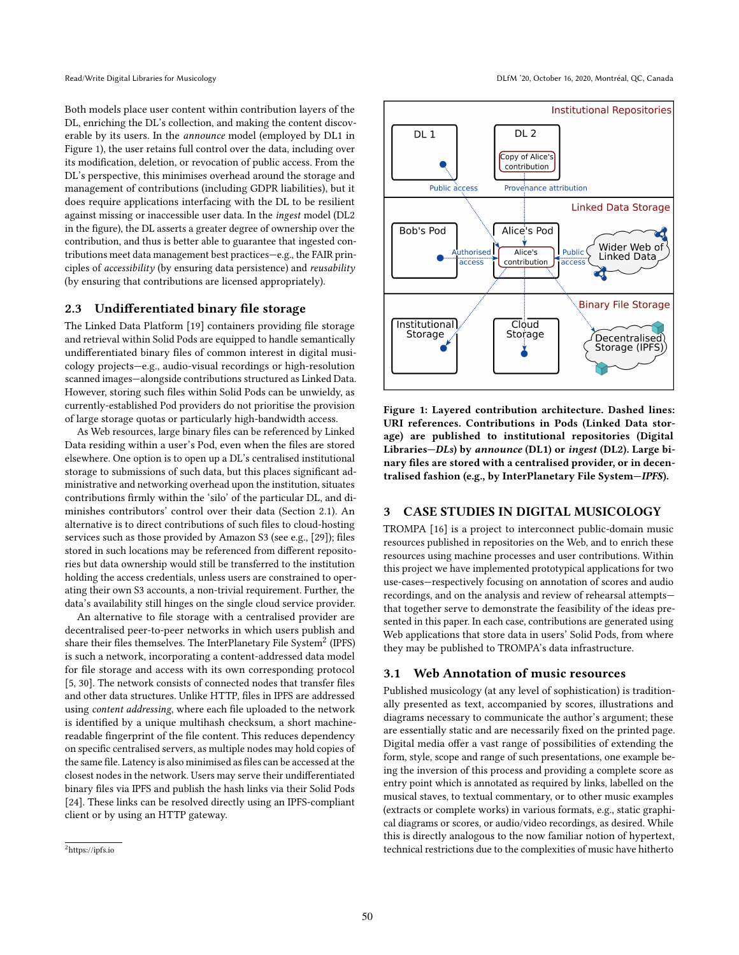Both models place user content within contribution layers of the DL, enriching the DL's collection, and making the content discoverable by its users. In the announce model (employed by DL1 in Figure [1\)](#page-2-0), the user retains full control over the data, including over its modification, deletion, or revocation of public access. From the DL's perspective, this minimises overhead around the storage and management of contributions (including GDPR liabilities), but it does require applications interfacing with the DL to be resilient against missing or inaccessible user data. In the ingest model (DL2 in the figure), the DL asserts a greater degree of ownership over the contribution, and thus is better able to guarantee that ingested contributions meet data management best practices—e.g., the FAIR principles of accessibility (by ensuring data persistence) and reusability (by ensuring that contributions are licensed appropriately).

## 2.3 Undifferentiated binary file storage

The Linked Data Platform [\[19\]](#page-4-22) containers providing file storage and retrieval within Solid Pods are equipped to handle semantically undifferentiated binary files of common interest in digital musicology projects—e.g., audio-visual recordings or high-resolution scanned images—alongside contributions structured as Linked Data. However, storing such files within Solid Pods can be unwieldy, as currently-established Pod providers do not prioritise the provision of large storage quotas or particularly high-bandwidth access.

As Web resources, large binary files can be referenced by Linked Data residing within a user's Pod, even when the files are stored elsewhere. One option is to open up a DL's centralised institutional storage to submissions of such data, but this places significant administrative and networking overhead upon the institution, situates contributions firmly within the 'silo' of the particular DL, and diminishes contributors' control over their data (Section [2.1\)](#page-1-1). An alternative is to direct contributions of such files to cloud-hosting services such as those provided by Amazon S3 (see e.g., [\[29\]](#page-4-23)); files stored in such locations may be referenced from different repositories but data ownership would still be transferred to the institution holding the access credentials, unless users are constrained to operating their own S3 accounts, a non-trivial requirement. Further, the data's availability still hinges on the single cloud service provider.

An alternative to file storage with a centralised provider are decentralised peer-to-peer networks in which users publish and share their files themselves. The InterPlanetary File System $^2$  $^2$  (IPFS) is such a network, incorporating a content-addressed data model for file storage and access with its own corresponding protocol [\[5,](#page-4-24) [30\]](#page-4-25). The network consists of connected nodes that transfer files and other data structures. Unlike HTTP, files in IPFS are addressed using content addressing, where each file uploaded to the network is identified by a unique multihash checksum, a short machinereadable fingerprint of the file content. This reduces dependency on specific centralised servers, as multiple nodes may hold copies of the same file. Latency is also minimised as files can be accessed at the closest nodes in the network. Users may serve their undifferentiated binary files via IPFS and publish the hash links via their Solid Pods [\[24\]](#page-4-26). These links can be resolved directly using an IPFS-compliant client or by using an HTTP gateway.

<span id="page-2-0"></span>

Figure 1: Layered contribution architecture. Dashed lines: URI references. Contributions in Pods (Linked Data storage) are published to institutional repositories (Digital Libraries—DLs) by announce (DL1) or ingest (DL2). Large binary files are stored with a centralised provider, or in decentralised fashion (e.g., by InterPlanetary File System—IPFS).

## 3 CASE STUDIES IN DIGITAL MUSICOLOGY

TROMPA [\[16\]](#page-4-27) is a project to interconnect public-domain music resources published in repositories on the Web, and to enrich these resources using machine processes and user contributions. Within this project we have implemented prototypical applications for two use-cases—respectively focusing on annotation of scores and audio recordings, and on the analysis and review of rehearsal attempts that together serve to demonstrate the feasibility of the ideas presented in this paper. In each case, contributions are generated using Web applications that store data in users' Solid Pods, from where they may be published to TROMPA's data infrastructure.

#### 3.1 Web Annotation of music resources

Published musicology (at any level of sophistication) is traditionally presented as text, accompanied by scores, illustrations and diagrams necessary to communicate the author's argument; these are essentially static and are necessarily fixed on the printed page. Digital media offer a vast range of possibilities of extending the form, style, scope and range of such presentations, one example being the inversion of this process and providing a complete score as entry point which is annotated as required by links, labelled on the musical staves, to textual commentary, or to other music examples (extracts or complete works) in various formats, e.g., static graphical diagrams or scores, or audio/video recordings, as desired. While this is directly analogous to the now familiar notion of hypertext, technical restrictions due to the complexities of music have hitherto

<span id="page-2-1"></span><sup>2</sup><https://ipfs.io>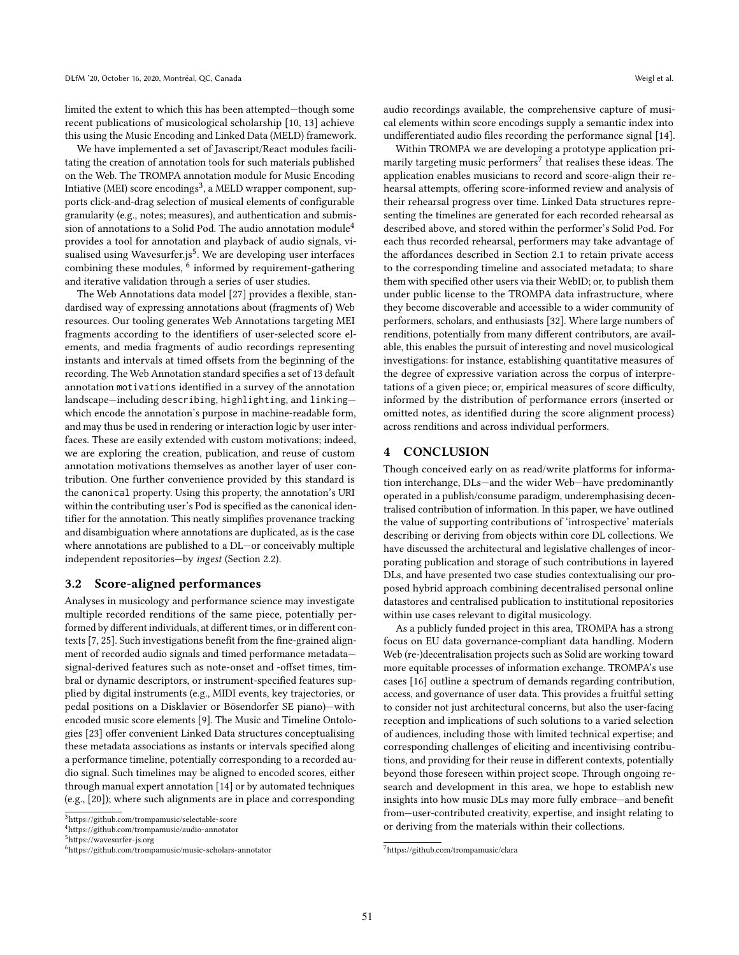limited the extent to which this has been attempted—though some recent publications of musicological scholarship [\[10,](#page-4-28) [13\]](#page-4-29) achieve this using the Music Encoding and Linked Data (MELD) framework.

We have implemented a set of Javascript/React modules facilitating the creation of annotation tools for such materials published on the Web. The TROMPA annotation module for Music Encoding Intiative (MEI) score encodings $^3$  $^3$ , a MELD wrapper component, supports click-and-drag selection of musical elements of configurable granularity (e.g., notes; measures), and authentication and submis-sion of annotations to a Solid Pod. The audio annotation module<sup>[4](#page-3-1)</sup> provides a tool for annotation and playback of audio signals, vi-sualised using Wavesurfer.js<sup>[5](#page-3-2)</sup>. We are developing user interfaces combining these modules, <sup>[6](#page-3-3)</sup> informed by requirement-gathering and iterative validation through a series of user studies.

The Web Annotations data model [\[27\]](#page-4-30) provides a flexible, standardised way of expressing annotations about (fragments of) Web resources. Our tooling generates Web Annotations targeting MEI fragments according to the identifiers of user-selected score elements, and media fragments of audio recordings representing instants and intervals at timed offsets from the beginning of the recording. The Web Annotation standard specifies a set of 13 default annotation motivations identified in a survey of the annotation landscape—including describing, highlighting, and linking which encode the annotation's purpose in machine-readable form, and may thus be used in rendering or interaction logic by user interfaces. These are easily extended with custom motivations; indeed, we are exploring the creation, publication, and reuse of custom annotation motivations themselves as another layer of user contribution. One further convenience provided by this standard is the canonical property. Using this property, the annotation's URI within the contributing user's Pod is specified as the canonical identifier for the annotation. This neatly simplifies provenance tracking and disambiguation where annotations are duplicated, as is the case where annotations are published to a DL—or conceivably multiple independent repositories—by ingest (Section [2.2\)](#page-1-2).

## 3.2 Score-aligned performances

Analyses in musicology and performance science may investigate multiple recorded renditions of the same piece, potentially performed by different individuals, at different times, or in different contexts [\[7,](#page-4-12) [25\]](#page-4-13). Such investigations benefit from the fine-grained alignment of recorded audio signals and timed performance metadata signal-derived features such as note-onset and -offset times, timbral or dynamic descriptors, or instrument-specified features supplied by digital instruments (e.g., MIDI events, key trajectories, or pedal positions on a Disklavier or Bösendorfer SE piano)—with encoded music score elements [\[9\]](#page-4-31). The Music and Timeline Ontologies [\[23\]](#page-4-32) offer convenient Linked Data structures conceptualising these metadata associations as instants or intervals specified along a performance timeline, potentially corresponding to a recorded audio signal. Such timelines may be aligned to encoded scores, either through manual expert annotation [\[14\]](#page-4-6) or by automated techniques (e.g., [\[20\]](#page-4-33)); where such alignments are in place and corresponding

audio recordings available, the comprehensive capture of musical elements within score encodings supply a semantic index into undifferentiated audio files recording the performance signal [\[14\]](#page-4-6).

Within TROMPA we are developing a prototype application primarily targeting music performers $^7$  $^7$  that realises these ideas. The application enables musicians to record and score-align their rehearsal attempts, offering score-informed review and analysis of their rehearsal progress over time. Linked Data structures representing the timelines are generated for each recorded rehearsal as described above, and stored within the performer's Solid Pod. For each thus recorded rehearsal, performers may take advantage of the affordances described in Section [2.1](#page-1-1) to retain private access to the corresponding timeline and associated metadata; to share them with specified other users via their WebID; or, to publish them under public license to the TROMPA data infrastructure, where they become discoverable and accessible to a wider community of performers, scholars, and enthusiasts [\[32\]](#page-4-8). Where large numbers of renditions, potentially from many different contributors, are available, this enables the pursuit of interesting and novel musicological investigations: for instance, establishing quantitative measures of the degree of expressive variation across the corpus of interpretations of a given piece; or, empirical measures of score difficulty, informed by the distribution of performance errors (inserted or omitted notes, as identified during the score alignment process) across renditions and across individual performers.

#### 4 CONCLUSION

Though conceived early on as read/write platforms for information interchange, DLs—and the wider Web—have predominantly operated in a publish/consume paradigm, underemphasising decentralised contribution of information. In this paper, we have outlined the value of supporting contributions of 'introspective' materials describing or deriving from objects within core DL collections. We have discussed the architectural and legislative challenges of incorporating publication and storage of such contributions in layered DLs, and have presented two case studies contextualising our proposed hybrid approach combining decentralised personal online datastores and centralised publication to institutional repositories within use cases relevant to digital musicology.

As a publicly funded project in this area, TROMPA has a strong focus on EU data governance-compliant data handling. Modern Web (re-)decentralisation projects such as Solid are working toward more equitable processes of information exchange. TROMPA's use cases [\[16\]](#page-4-27) outline a spectrum of demands regarding contribution, access, and governance of user data. This provides a fruitful setting to consider not just architectural concerns, but also the user-facing reception and implications of such solutions to a varied selection of audiences, including those with limited technical expertise; and corresponding challenges of eliciting and incentivising contributions, and providing for their reuse in different contexts, potentially beyond those foreseen within project scope. Through ongoing research and development in this area, we hope to establish new insights into how music DLs may more fully embrace—and benefit from—user-contributed creativity, expertise, and insight relating to or deriving from the materials within their collections.

<span id="page-3-0"></span><sup>3</sup><https://github.com/trompamusic/selectable-score>

<span id="page-3-1"></span><sup>4</sup><https://github.com/trompamusic/audio-annotator>

<span id="page-3-2"></span><sup>5</sup><https://wavesurfer-js.org>

<span id="page-3-3"></span><sup>6</sup><https://github.com/trompamusic/music-scholars-annotator>

<span id="page-3-4"></span><sup>7</sup><https://github.com/trompamusic/clara>